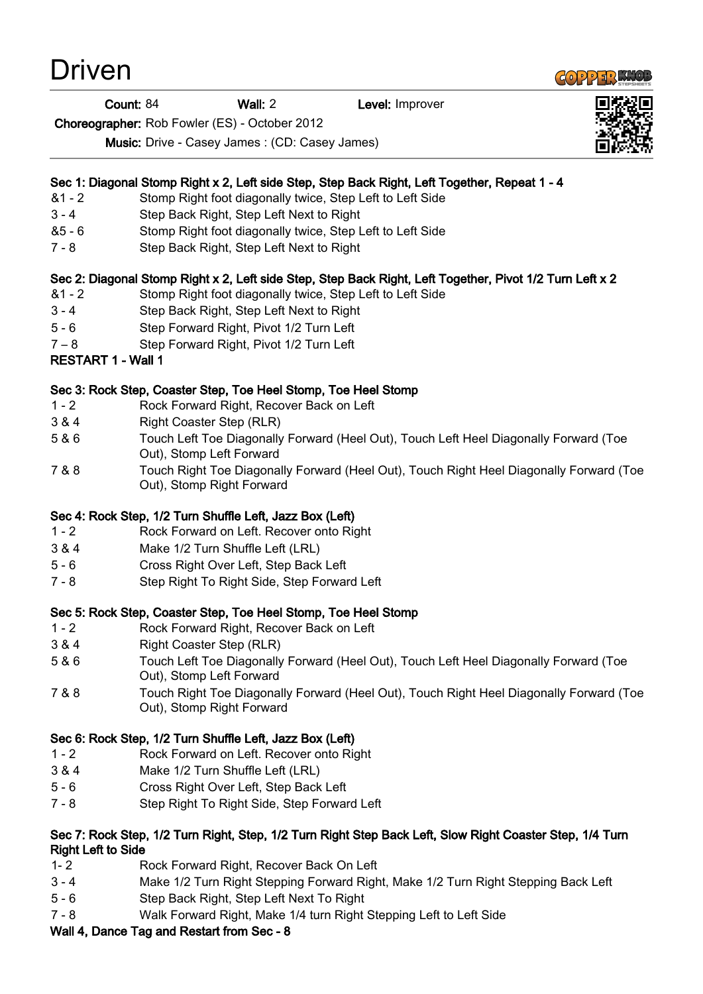# Driven

Count: 84 Wall: 2 Level: Improver

Choreographer: Rob Fowler (ES) - October 2012

Music: Drive - Casey James : (CD: Casey James)

# Sec 1: Diagonal Stomp Right x 2, Left side Step, Step Back Right, Left Together, Repeat 1 - 4

- &1 2 Stomp Right foot diagonally twice, Step Left to Left Side
- 3 4 Step Back Right, Step Left Next to Right
- &5 6 Stomp Right foot diagonally twice, Step Left to Left Side
- 7 8 Step Back Right, Step Left Next to Right

# Sec 2: Diagonal Stomp Right x 2, Left side Step, Step Back Right, Left Together, Pivot 1/2 Turn Left x 2

- &1 2 Stomp Right foot diagonally twice, Step Left to Left Side
- 3 4 Step Back Right, Step Left Next to Right
- 5 6 Step Forward Right, Pivot 1/2 Turn Left
- 7 8 Step Forward Right, Pivot 1/2 Turn Left
- RESTART 1 Wall 1

## Sec 3: Rock Step, Coaster Step, Toe Heel Stomp, Toe Heel Stomp

- 1 2 Rock Forward Right, Recover Back on Left
- 3 & 4 Right Coaster Step (RLR)
- 5 & 6 Touch Left Toe Diagonally Forward (Heel Out), Touch Left Heel Diagonally Forward (Toe Out), Stomp Left Forward
- 7 & 8 Touch Right Toe Diagonally Forward (Heel Out), Touch Right Heel Diagonally Forward (Toe Out), Stomp Right Forward

# Sec 4: Rock Step, 1/2 Turn Shuffle Left, Jazz Box (Left)

- 1 2 Rock Forward on Left. Recover onto Right
- 3 & 4 Make 1/2 Turn Shuffle Left (LRL)
- 5 6 Cross Right Over Left, Step Back Left
- 7 8 Step Right To Right Side, Step Forward Left

#### Sec 5: Rock Step, Coaster Step, Toe Heel Stomp, Toe Heel Stomp

- 1 2 Rock Forward Right, Recover Back on Left
- 3 & 4 Right Coaster Step (RLR)
- 5 & 6 Touch Left Toe Diagonally Forward (Heel Out), Touch Left Heel Diagonally Forward (Toe Out), Stomp Left Forward
- 7 & 8 Touch Right Toe Diagonally Forward (Heel Out), Touch Right Heel Diagonally Forward (Toe Out), Stomp Right Forward

# Sec 6: Rock Step, 1/2 Turn Shuffle Left, Jazz Box (Left)

- 1 2 Rock Forward on Left. Recover onto Right
- 3 & 4 Make 1/2 Turn Shuffle Left (LRL)
- 5 6 Cross Right Over Left, Step Back Left
- 7 8 Step Right To Right Side, Step Forward Left

## Sec 7: Rock Step, 1/2 Turn Right, Step, 1/2 Turn Right Step Back Left, Slow Right Coaster Step, 1/4 Turn Right Left to Side

- 1- 2 Rock Forward Right, Recover Back On Left
- 3 4 Make 1/2 Turn Right Stepping Forward Right, Make 1/2 Turn Right Stepping Back Left
- 5 6 Step Back Right, Step Left Next To Right
- 7 8 Walk Forward Right, Make 1/4 turn Right Stepping Left to Left Side

#### Wall 4, Dance Tag and Restart from Sec - 8